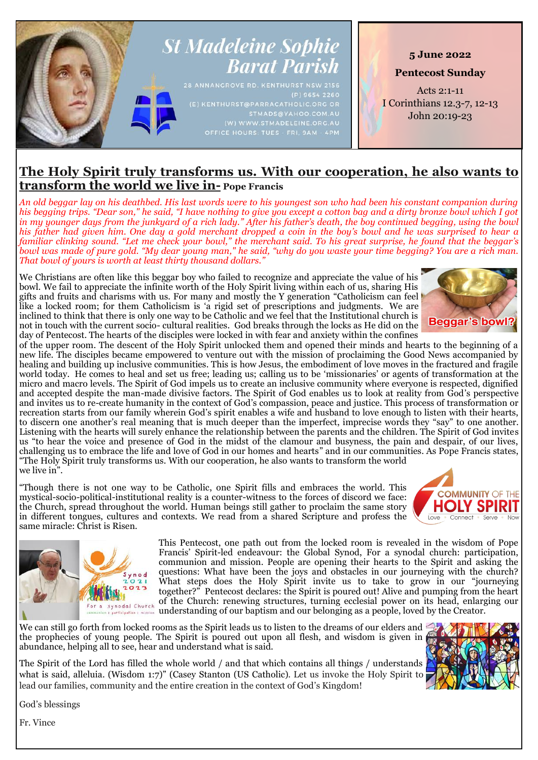

# **The Holy Spirit truly transforms us. With our cooperation, he also wants to transform the world we live in- Pope Francis**

*An old beggar lay on his deathbed. His last words were to his youngest son who had been his constant companion during his begging trips. "Dear son," he said, "I have nothing to give you except a cotton bag and a dirty bronze bowl which I got in my younger days from the junkyard of a rich lady." After his father's death, the boy continued begging, using the bowl his father had given him. One day a gold merchant dropped a coin in the boy's bowl and he was surprised to hear a familiar clinking sound. "Let me check your bowl," the merchant said. To his great surprise, he found that the beggar's bowl was made of pure gold. "My dear young man," he said, "why do you waste your time begging? You are a rich man. That bowl of yours is worth at least thirty thousand dollars."* 

We Christians are often like this beggar boy who failed to recognize and appreciate the value of his bowl. We fail to appreciate the infinite worth of the Holy Spirit living within each of us, sharing His gifts and fruits and charisms with us. For many and mostly the Y generation "Catholicism can feel like a locked room; for them Catholicism is 'a rigid set of prescriptions and judgments. We are inclined to think that there is only one way to be Catholic and we feel that the Institutional church is not in touch with the current socio- cultural realities. God breaks through the locks as He did on the day of Pentecost. The hearts of the disciples were locked in with fear and anxiety within the confines

**Beggar's bowl?** 

of the upper room. The descent of the Holy Spirit unlocked them and opened their minds and hearts to the beginning of a new life. The disciples became empowered to venture out with the mission of proclaiming the Good News accompanied by healing and building up inclusive communities. This is how Jesus, the embodiment of love moves in the fractured and fragile world today. He comes to heal and set us free; leading us; calling us to be 'missionaries' or agents of transformation at the micro and macro levels. The Spirit of God impels us to create an inclusive community where everyone is respected, dignified and accepted despite the man-made divisive factors. The Spirit of God enables us to look at reality from God's perspective and invites us to re-create humanity in the context of God's compassion, peace and justice. This process of transformation or recreation starts from our family wherein God's spirit enables a wife and husband to love enough to listen with their hearts, to discern one another's real meaning that is much deeper than the imperfect, imprecise words they "say" to one another. Listening with the hearts will surely enhance the relationship between the parents and the children. The Spirit of God invites us "to hear the voice and presence of God in the midst of the clamour and busyness, the pain and despair, of our lives, challenging us to embrace the life and love of God in our homes and hearts" and in our communities. As Pope Francis states, "The Holy Spirit truly transforms us. With our cooperation, he also wants to transform the world we live in".

"Though there is not one way to be Catholic, one Spirit fills and embraces the world. This mystical-socio-political-institutional reality is a counter-witness to the forces of discord we face: the Church, spread throughout the world. Human beings still gather to proclaim the same story in different tongues, cultures and contexts. We read from a shared Scripture and profess the same miracle: Christ is Risen.

 $Q21$ 



We can still go forth from locked rooms as the Spirit leads us to listen to the dreams of our elders and the prophecies of young people. The Spirit is poured out upon all flesh, and wisdom is given in abundance, helping all to see, hear and understand what is said.

The Spirit of the Lord has filled the whole world / and that which contains all things / understands what is said, alleluia. (Wisdom 1:7)" (Casey Stanton (US Catholic). Let us invoke the Holy Spirit to lead our families, community and the entire creation in the context of God's Kingdom!



**OMMUNITY OF THE** 

**HOLY SP** 

Connect

 $Love$ 

God's blessings

Fr. Vince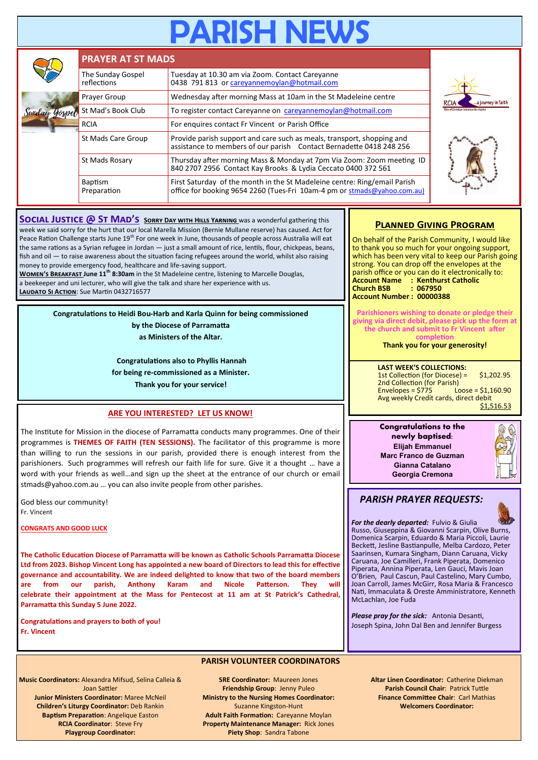# RISH NE

|  | <b>PRAYER AT ST MADS</b>         |                                                                                                                                                       |                                                                                     |  |  |
|--|----------------------------------|-------------------------------------------------------------------------------------------------------------------------------------------------------|-------------------------------------------------------------------------------------|--|--|
|  | The Sunday Gospel<br>reflections | Tuesday at 10.30 am via Zoom. Contact Careyanne<br>0438 791 813 or careyannemoylan@hotmail.com                                                        | a journey in faith<br><b>RCIA</b><br><b>Rite of Christian Initiation for Adults</b> |  |  |
|  | Prayer Group                     | Wednesday after morning Mass at 10am in the St Madeleine centre                                                                                       |                                                                                     |  |  |
|  | St Mad's Book Club               | To register contact Careyanne on careyannemoylan@hotmail.com                                                                                          |                                                                                     |  |  |
|  | <b>RCIA</b>                      | For enquires contact Fr Vincent or Parish Office                                                                                                      |                                                                                     |  |  |
|  | St Mads Care Group               | Provide parish support and care such as meals, transport, shopping and<br>assistance to members of our parish Contact Bernadette 0418 248 256         |                                                                                     |  |  |
|  | St Mads Rosary                   | Thursday after morning Mass & Monday at 7pm Via Zoom: Zoom meeting ID<br>840 2707 2956 Contact Kay Brooks & Lydia Ceccato 0400 372 561                |                                                                                     |  |  |
|  | <b>Baptism</b><br>Preparation    | First Saturday of the month in the St Madeleine centre: Ring/email Parish<br>office for booking 9654 2260 (Tues-Fri 10am-4 pm or stmads@yahoo.com.au) |                                                                                     |  |  |

**SOCIAL JUSTICE @ ST MAD'S SORRY DAY WITH HILLS YARNING** was a wonderful gathering this week we said sorry for the hurt that our local Marella Mission (Bernie Mullane reserve) has caused. Act for Peace Ration Challenge starts June 19<sup>th</sup> For one week in June, thousands of people across Australia will eat the same rations as a Syrian refugee in Jordan — just a small amount of rice, lentils, flour, chickpeas, beans, fish and oil — to raise awareness about the situation facing refugees around the world, whilst also raising money to provide emergency food, healthcare and life-saving support.

**Women's Breakfast June 11th 8:30am** in the St Madeleine centre, listening to Marcelle Douglas, a beekeeper and uni lecturer, who will give the talk and share her experience with us. **LAUDATO SI ACTION:** Sue Martin 0432716577

> **Congratulations to Heidi Bou-Harb and Karla Quinn for being commissioned by the Diocese of Parramatta**

**as Ministers of the Altar.**

**Congratulations also to Phyllis Hannah for being re-commissioned as a Minister. Thank you for your service!**

## **ARE YOU INTERESTED? LET US KNOW!**

The Institute for Mission in the diocese of Parramatta conducts many programmes. One of their programmes is **THEMES OF FAITH (TEN SESSIONS).** The facilitator of this programme is more than willing to run the sessions in our parish, provided there is enough interest from the parishioners. Such programmes will refresh our faith life for sure. Give it a thought … have a word with your friends as well…and sign up the sheet at the entrance of our church or email stmads@yahoo.com.au … you can also invite people from other parishes.

God bless our community! Fr. Vincent

**CONGRATS AND GOOD LUCK**

**The Catholic Education Diocese of Parramatta will be known as Catholic Schools Parramatta Diocese Ltd from 2023. Bishop Vincent Long has appointed a new board of Directors to lead this for effective governance and accountability. We are indeed delighted to know that two of the board members are from our parish, Anthony Karam and Nicole Patterson. They will celebrate their appointment at the Mass for Pentecost at 11 am at St Patrick's Cathedral, Parramatta this Sunday 5 June 2022.**

**Congratulations and prayers to both of you! Fr. Vincent**

## **PARISH VOLUNTEER COORDINATORS**

**Music Coordinators:** Alexandra Mifsud, Selina Calleia & Joan Sattler **Junior Ministers Coordinator:** Maree McNeil **Children's Liturgy Coordinator:** Deb Rankin **Baptism Preparation**: Angelique Easton **RCIA Coordinator**: Steve Fry **Playgroup Coordinator:** 

**SRE Coordinator:** Maureen Jones **Friendship Group**: Jenny Puleo **Ministry to the Nursing Homes Coordinator:**  Suzanne Kingston-Hunt **Adult Faith Formation:** Careyanne Moylan **Property Maintenance Manager:** Rick Jones **Piety Shop**: Sandra Tabone

## **Planned Giving Program**

On behalf of the Parish Community, I would like to thank you so much for your ongoing support, which has been very vital to keep our Parish going strong. You can drop off the envelopes at the parish office or you can do it electronically to: **Account Name : Kenthurst Catholic Church BSB Account Number : 00000388**

**Parishioners wishing to donate or pledge their giving via direct debit, please pick up the form at the church and submit to Fr Vincent after completion**

**Thank you for your generosity!**

**LAST WEEK'S COLLECTIONS:** 1st Collection (for Diocese) = \$1,202.95 2nd Collection (for Parish)<br>Envelopes = \$775 Lo  $\text{Loose} = $1,160.90$ Avg weekly Credit cards, direct debit \$1,516.53

**Congratulations to the newly baptised: Elijah Emmanuel Marc Franco de Guzman Gianna Catalano Georgia Cremona**

# *PARISH PRAYER REQUESTS:*

*For the dearly departed:* Fulvio & Giulia Russo, Giuseppina & Giovanni Scarpin, Olive Burns, Domenica Scarpin, Eduardo & Maria Piccoli, Laurie Beckett, Jesline Bastianpulle, Melba Cardozo, Peter Saarinsen, Kumara Singham, Diann Caruana, Vicky Caruana, Joe Camilleri, Frank Piperata, Domenico Piperata, Annina Piperata, Len Gauci, Mavis Joan O'Brien, Paul Cascun, Paul Castelino, Mary Cumbo, Joan Carroll, James McGirr, Rosa Maria & Francesco Nati, Immaculata & Oreste Amministratore, Kenneth McLachlan, Joe Fuda

*Please pray for the sick:* Antonia Desanti, Joseph Spina, John Dal Ben and Jennifer Burgess

> **Altar Linen Coordinator:** Catherine Diekman **Parish Council Chair**: Patrick Tuttle **Finance Committee Chair**: Carl Mathias **Welcomers Coordinator:**

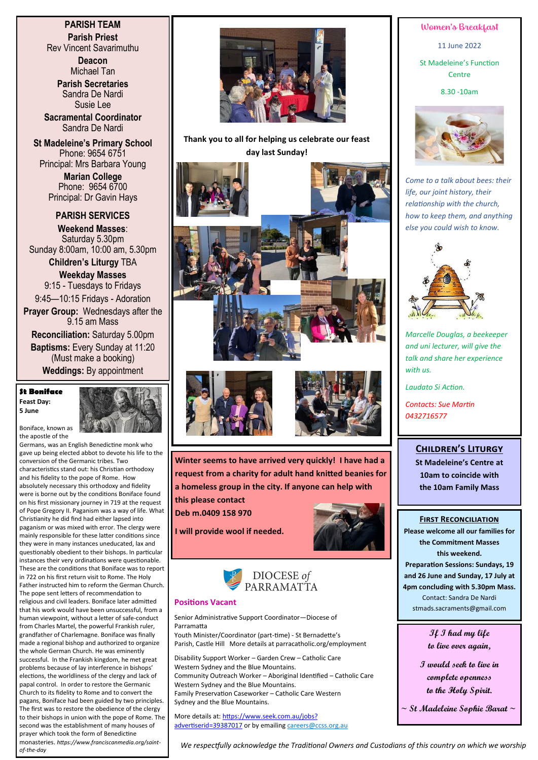# **PARISH TEAM Parish Priest**

Rev Vincent Savarimuthu

**Deacon** Michael Tan **Parish Secretaries**

Sandra De Nardi Susie Lee

**Sacramental Coordinator** Sandra De Nardi

**St Madeleine's Primary School** Phone: 9654 6751 Principal: Mrs Barbara Young

> **Marian College** Phone: 9654 6700 Principal: Dr Gavin Hays

**PARISH SERVICES Weekend Masses**: Saturday 5.30pm Sunday 8:00am, 10:00 am, 5.30pm

**Children's Liturgy** TBA **Weekday Masses**  9:15 - Tuesdays to Fridays 9:45—10:15 Fridays - Adoration **Prayer Group:** Wednesdays after the 9.15 am Mass

**Reconciliation:** Saturday 5.00pm **Baptisms:** Every Sunday at 11:20 (Must make a booking) **Weddings:** By appointment

#### **St Boniface Feast Day: 5 June**



Boniface, known as the apostle of the

*of-the-day*

Germans, was an English Benedictine monk who gave up being elected abbot to devote his life to the conversion of the Germanic tribes. Two characteristics stand out: his Christian orthodoxy and his fidelity to the pope of Rome. How absolutely necessary this orthodoxy and fidelity were is borne out by the conditions Boniface found on his first missionary journey in 719 at the request of Pope Gregory II. Paganism was a way of life. What Christianity he did find had either lapsed into paganism or was mixed with error. The clergy were mainly responsible for these latter conditions since they were in many instances uneducated, lax and questionably obedient to their bishops. In particular instances their very ordinations were questionable. These are the conditions that Boniface was to report in 722 on his first return visit to Rome. The Holy Father instructed him to reform the German Church. The pope sent letters of recommendation to religious and civil leaders. Boniface later admitted that his work would have been unsuccessful, from a human viewpoint, without a letter of safe-conduct from Charles Martel, the powerful Frankish ruler, grandfather of Charlemagne. Boniface was finally made a regional bishop and authorized to organize the whole German Church. He was eminently successful. In the Frankish kingdom, he met great problems because of lay interference in bishops' elections, the worldliness of the clergy and lack of papal control. In order to restore the Germanic Church to its fidelity to Rome and to convert the pagans, Boniface had been guided by two principles. The first was to restore the obedience of the clergy to their bishops in union with the pope of Rome. The second was the establishment of many houses of prayer which took the form of Benedictine monasteries. *https://www.franciscanmedia.org/saint-*



**Thank you to all for helping us celebrate our feast day last Sunday!** 









**Winter seems to have arrived very quickly! I have had a request from a charity for adult hand knitted beanies for a homeless group in the city. If anyone can help with this please contact** 

**Deb m.0409 158 970**



**I will provide wool if needed.**



#### **Positions Vacant**

Senior Administrative Support Coordinator—Diocese of Parramatta

Youth Minister/Coordinator (part-time) - St Bernadette's Parish, Castle Hill More details at parracatholic.org/employment

Disability Support Worker – Garden Crew – Catholic Care Western Sydney and the Blue Mountains. Community Outreach Worker – Aboriginal Identified – Catholic Care Western Sydney and the Blue Mountains. Family Preservation Caseworker – Catholic Care Western Sydney and the Blue Mountains.

More details at: [https://www.seek.com.au/jobs?](https://www.seek.com.au/jobs?advertiserid=39387017) [advertiserid=39387017](https://www.seek.com.au/jobs?advertiserid=39387017) or by emailing [careers@ccss.org.au](mailto:careers@ccss.org.au) Women's Breakfast

11 June 2022

St Madeleine's Function Centre

8.30 -10am



*Come to a talk about bees: their life, our joint history, their relationship with the church, how to keep them, and anything else you could wish to know.*



*Marcelle Douglas, a beekeeper and uni lecturer, will give the talk and share her experience with us.* 

*Laudato Si Action.*

*Contacts: Sue Martin 0432716577*

## **Children's Liturgy**

**St Madeleine's Centre at 10am to coincide with the 10am Family Mass**

#### **First Reconciliation**

**Please welcome all our families for the Commitment Masses this weekend. Preparation Sessions: Sundays, 19 and 26 June and Sunday, 17 July at 4pm concluding with 5.30pm Mass.** Contact: Sandra De Nardi stmads.sacraments@gmail.com

> **If I had my life to live over again,**

**I would seek to live in complete openness to the Holy Spirit.**

**~ St Madeleine Sophie Barat ~**